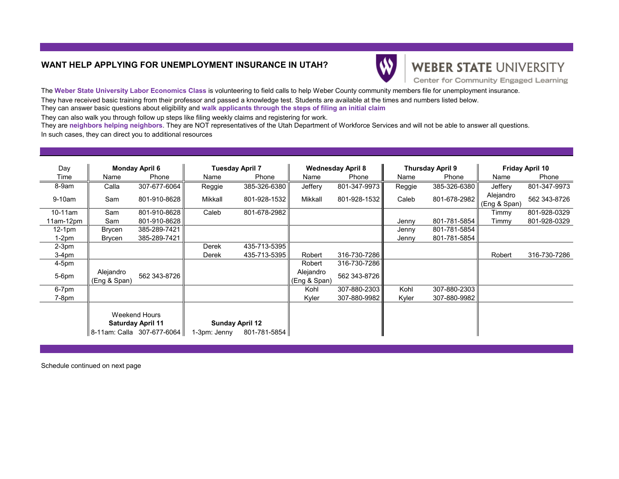## **WANT HELP APPLYING FOR UNEMPLOYMENT INSURANCE IN UTAH?**



## **WEBER STATE UNIVERSITY**

Center for Community Engaged Learning

The **Weber State University Labor Economics Class** is volunteering to field calls to help Weber County community members file for unemployment insurance. They have received basic training from their professor and passed a knowledge test. Students are available at the times and numbers listed below. They can answer basic questions about eligibility and **walk applicants through the steps of filing an initial claim**

They can also walk you through follow up steps like filing weekly claims and registering for work.

They are **neighbors helping neighbors**. They are NOT representatives of the Utah Department of Workforce Services and will not be able to answer all questions. In such cases, they can direct you to additional resources

| Day         | <b>Monday April 6</b>                     |              | <b>Tuesday April 7</b> |                                        | <b>Wednesday April 8</b>  |              | <b>Thursday April 9</b> |              | <b>Friday April 10</b>    |              |
|-------------|-------------------------------------------|--------------|------------------------|----------------------------------------|---------------------------|--------------|-------------------------|--------------|---------------------------|--------------|
| Time        | Name                                      | Phone        | Name                   | Phone                                  | Name                      | Phone        | Name                    | Phone        | Name                      | Phone        |
| 8-9am       | Calla                                     | 307-677-6064 | Reggie                 | 385-326-6380                           | Jeffery                   | 801-347-9973 | Reggie                  | 385-326-6380 | Jeffery                   | 801-347-9973 |
| $9-10am$    | Sam                                       | 801-910-8628 | Mikkall                | 801-928-1532                           | Mikkall                   | 801-928-1532 | Caleb                   | 801-678-2982 | Alejandro<br>(Eng & Span) | 562 343-8726 |
| $10-11$ am  | Sam                                       | 801-910-8628 | Caleb                  | 801-678-2982                           |                           |              |                         |              | Timmy                     | 801-928-0329 |
| $11am-12pm$ | Sam                                       | 801-910-8628 |                        |                                        |                           |              | Jenny                   | 801-781-5854 | Timmy                     | 801-928-0329 |
| $12-1pm$    | Brycen                                    | 385-289-7421 |                        |                                        |                           |              | Jenny                   | 801-781-5854 |                           |              |
| $1-2pm$     | Brycen                                    | 385-289-7421 |                        |                                        |                           |              | Jenny                   | 801-781-5854 |                           |              |
| $2-3pm$     |                                           |              | Derek                  | 435-713-5395                           |                           |              |                         |              |                           |              |
| 3-4pm       |                                           |              | Derek                  | 435-713-5395                           | Robert                    | 316-730-7286 |                         |              | Robert                    | 316-730-7286 |
| 4-5pm       |                                           |              |                        |                                        | Robert                    | 316-730-7286 |                         |              |                           |              |
| 5-6pm       | Alejandro<br>(Eng & Span)                 | 562 343-8726 |                        |                                        | Alejandro<br>(Eng & Span) | 562 343-8726 |                         |              |                           |              |
| 6-7pm       |                                           |              |                        |                                        | Kohl                      | 307-880-2303 | Kohl                    | 307-880-2303 |                           |              |
| $7-8pm$     |                                           |              |                        |                                        | Kyler                     | 307-880-9982 | Kyler                   | 307-880-9982 |                           |              |
|             | Weekend Hours<br><b>Saturday April 11</b> |              | 1-3pm: Jenny           | <b>Sunday April 12</b><br>801-781-5854 |                           |              |                         |              |                           |              |

Schedule continued on next page